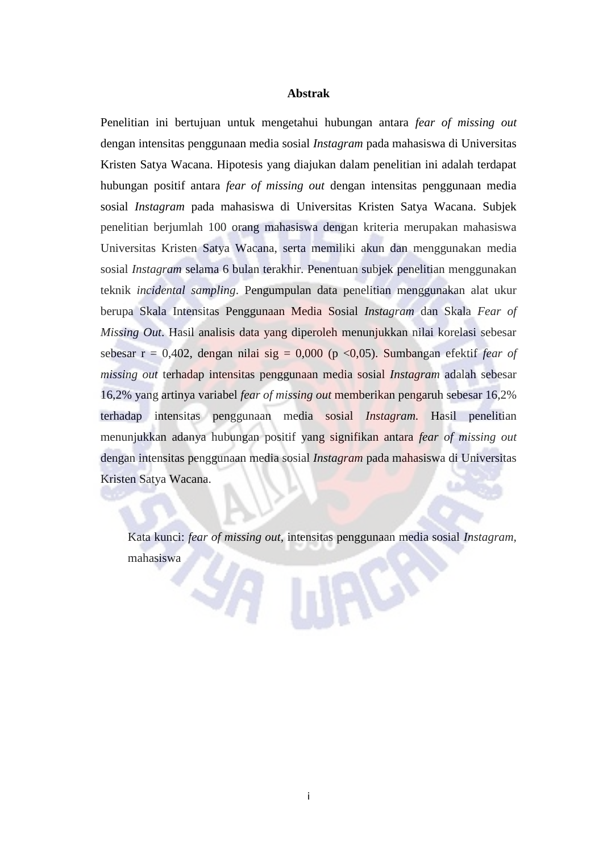## **Abstrak**

Penelitian ini bertujuan untuk mengetahui hubungan antara *fear of missing out* dengan intensitas penggunaan media sosial *Instagram* pada mahasiswa di Universitas Kristen Satya Wacana. Hipotesis yang diajukan dalam penelitian ini adalah terdapat hubungan positif antara *fear of missing out* dengan intensitas penggunaan media sosial *Instagram* pada mahasiswa di Universitas Kristen Satya Wacana. Subjek penelitian berjumlah 100 orang mahasiswa dengan kriteria merupakan mahasiswa Universitas Kristen Satya Wacana, serta memiliki akun dan menggunakan media sosial *Instagram* selama 6 bulan terakhir. Penentuan subjek penelitian menggunakan teknik *incidental sampling*. Pengumpulan data penelitian menggunakan alat ukur berupa Skala Intensitas Penggunaan Media Sosial *Instagram* dan Skala *Fear of Missing Out*. Hasil analisis data yang diperoleh menunjukkan nilai korelasi sebesar sebesar  $r = 0.402$ , dengan nilai sig = 0,000 (p <0,05). Sumbangan efektif *fear of missing out* terhadap intensitas penggunaan media sosial *Instagram* adalah sebesar 16,2% yang artinya variabel *fear of missing out* memberikan pengaruh sebesar 16,2% terhadap intensitas penggunaan media sosial *Instagram.* Hasil penelitian menunjukkan adanya hubungan positif yang signifikan antara *fear of missing out* dengan intensitas penggunaan media sosial *Instagram* pada mahasiswa di Universitas Kristen Satya Wacana.

Kata kunci: *fear of missing out,* intensitas penggunaan media sosial *Instagram,* mahasiswa

 $|2/2\rangle$